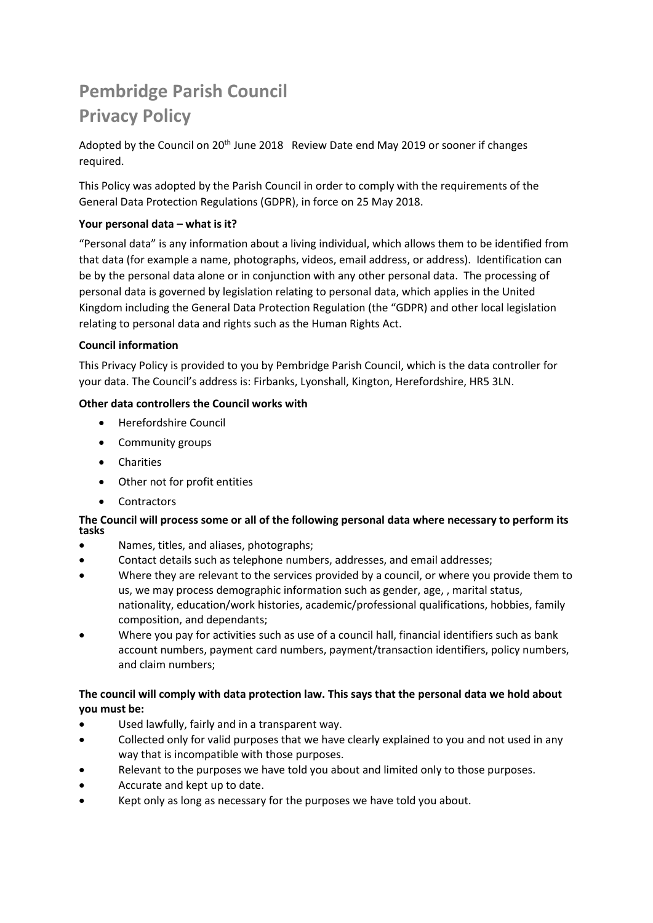# **Pembridge Parish Council Privacy Policy**

Adopted by the Council on 20<sup>th</sup> June 2018 Review Date end May 2019 or sooner if changes required.

This Policy was adopted by the Parish Council in order to comply with the requirements of the General Data Protection Regulations (GDPR), in force on 25 May 2018.

## **Your personal data – what is it?**

"Personal data" is any information about a living individual, which allows them to be identified from that data (for example a name, photographs, videos, email address, or address). Identification can be by the personal data alone or in conjunction with any other personal data. The processing of personal data is governed by legislation relating to personal data, which applies in the United Kingdom including the General Data Protection Regulation (the "GDPR) and other local legislation relating to personal data and rights such as the Human Rights Act.

## **Council information**

This Privacy Policy is provided to you by Pembridge Parish Council, which is the data controller for your data. The Council's address is: Firbanks, Lyonshall, Kington, Herefordshire, HR5 3LN.

## **Other data controllers the Council works with**

- Herefordshire Council
- Community groups
- Charities
- Other not for profit entities
- Contractors

## **The Council will process some or all of the following personal data where necessary to perform its tasks**

- Names, titles, and aliases, photographs;
- Contact details such as telephone numbers, addresses, and email addresses;
- Where they are relevant to the services provided by a council, or where you provide them to us, we may process demographic information such as gender, age, , marital status, nationality, education/work histories, academic/professional qualifications, hobbies, family composition, and dependants;
- Where you pay for activities such as use of a council hall, financial identifiers such as bank account numbers, payment card numbers, payment/transaction identifiers, policy numbers, and claim numbers;

# **The council will comply with data protection law. This says that the personal data we hold about you must be:**

- Used lawfully, fairly and in a transparent way.
- Collected only for valid purposes that we have clearly explained to you and not used in any way that is incompatible with those purposes.
- Relevant to the purposes we have told you about and limited only to those purposes.
- Accurate and kept up to date.
- Kept only as long as necessary for the purposes we have told you about.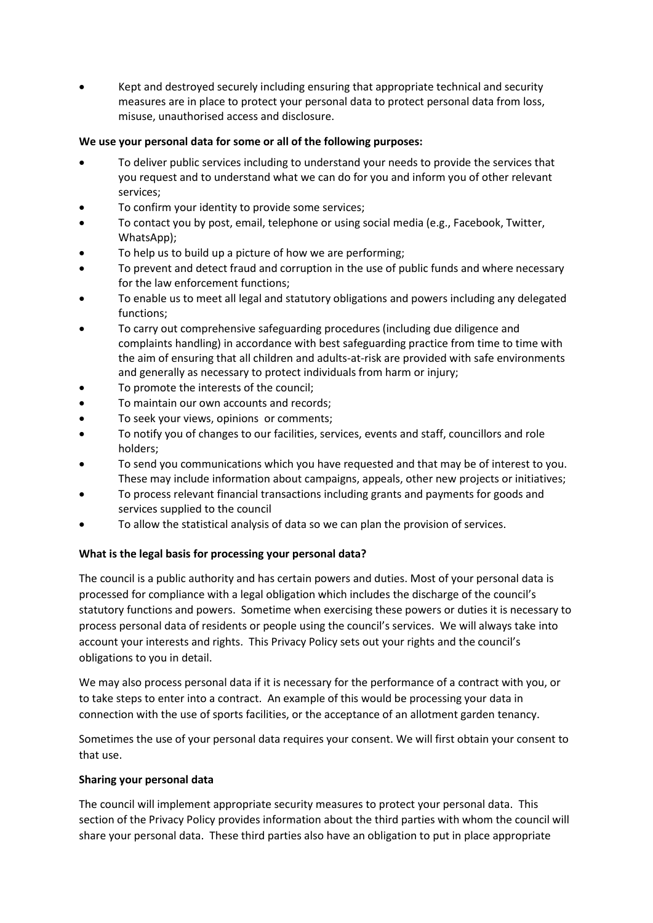• Kept and destroyed securely including ensuring that appropriate technical and security measures are in place to protect your personal data to protect personal data from loss, misuse, unauthorised access and disclosure.

## **We use your personal data for some or all of the following purposes:**

- To deliver public services including to understand your needs to provide the services that you request and to understand what we can do for you and inform you of other relevant services;
- To confirm your identity to provide some services;
- To contact you by post, email, telephone or using social media (e.g., Facebook, Twitter, WhatsApp);
- To help us to build up a picture of how we are performing;
- To prevent and detect fraud and corruption in the use of public funds and where necessary for the law enforcement functions;
- To enable us to meet all legal and statutory obligations and powers including any delegated functions;
- To carry out comprehensive safeguarding procedures (including due diligence and complaints handling) in accordance with best safeguarding practice from time to time with the aim of ensuring that all children and adults-at-risk are provided with safe environments and generally as necessary to protect individuals from harm or injury;
- To promote the interests of the council;
- To maintain our own accounts and records;
- To seek your views, opinions or comments;
- To notify you of changes to our facilities, services, events and staff, councillors and role holders;
- To send you communications which you have requested and that may be of interest to you. These may include information about campaigns, appeals, other new projects or initiatives;
- To process relevant financial transactions including grants and payments for goods and services supplied to the council
- To allow the statistical analysis of data so we can plan the provision of services.

## **What is the legal basis for processing your personal data?**

The council is a public authority and has certain powers and duties. Most of your personal data is processed for compliance with a legal obligation which includes the discharge of the council's statutory functions and powers. Sometime when exercising these powers or duties it is necessary to process personal data of residents or people using the council's services. We will always take into account your interests and rights. This Privacy Policy sets out your rights and the council's obligations to you in detail.

We may also process personal data if it is necessary for the performance of a contract with you, or to take steps to enter into a contract. An example of this would be processing your data in connection with the use of sports facilities, or the acceptance of an allotment garden tenancy.

Sometimes the use of your personal data requires your consent. We will first obtain your consent to that use.

## **Sharing your personal data**

The council will implement appropriate security measures to protect your personal data. This section of the Privacy Policy provides information about the third parties with whom the council will share your personal data. These third parties also have an obligation to put in place appropriate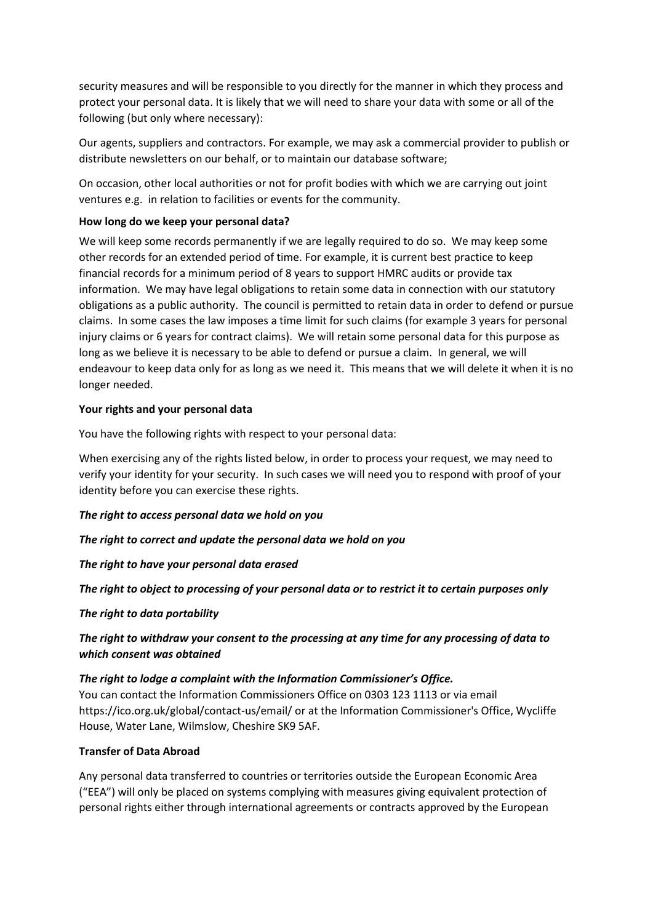security measures and will be responsible to you directly for the manner in which they process and protect your personal data. It is likely that we will need to share your data with some or all of the following (but only where necessary):

Our agents, suppliers and contractors. For example, we may ask a commercial provider to publish or distribute newsletters on our behalf, or to maintain our database software;

On occasion, other local authorities or not for profit bodies with which we are carrying out joint ventures e.g. in relation to facilities or events for the community.

#### **How long do we keep your personal data?**

We will keep some records permanently if we are legally required to do so. We may keep some other records for an extended period of time. For example, it is current best practice to keep financial records for a minimum period of 8 years to support HMRC audits or provide tax information. We may have legal obligations to retain some data in connection with our statutory obligations as a public authority. The council is permitted to retain data in order to defend or pursue claims. In some cases the law imposes a time limit for such claims (for example 3 years for personal injury claims or 6 years for contract claims). We will retain some personal data for this purpose as long as we believe it is necessary to be able to defend or pursue a claim. In general, we will endeavour to keep data only for as long as we need it. This means that we will delete it when it is no longer needed.

#### **Your rights and your personal data**

You have the following rights with respect to your personal data:

When exercising any of the rights listed below, in order to process your request, we may need to verify your identity for your security. In such cases we will need you to respond with proof of your identity before you can exercise these rights.

#### *The right to access personal data we hold on you*

#### *The right to correct and update the personal data we hold on you*

*The right to have your personal data erased*

#### *The right to object to processing of your personal data or to restrict it to certain purposes only*

#### *The right to data portability*

# *The right to withdraw your consent to the processing at any time for any processing of data to which consent was obtained*

#### *The right to lodge a complaint with the Information Commissioner's Office.*

You can contact the Information Commissioners Office on 0303 123 1113 or via email https://ico.org.uk/global/contact-us/email/ or at the Information Commissioner's Office, Wycliffe House, Water Lane, Wilmslow, Cheshire SK9 5AF.

#### **Transfer of Data Abroad**

Any personal data transferred to countries or territories outside the European Economic Area ("EEA") will only be placed on systems complying with measures giving equivalent protection of personal rights either through international agreements or contracts approved by the European